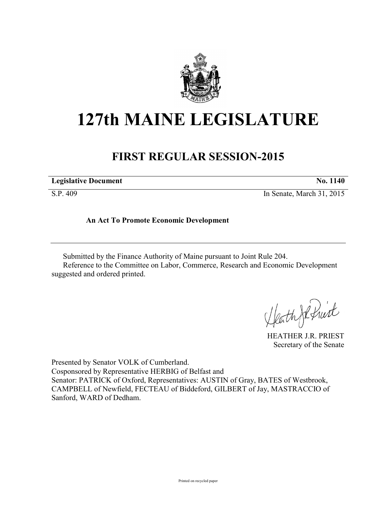

# **127th MAINE LEGISLATURE**

## **FIRST REGULAR SESSION-2015**

| <b>Legislative Document</b> | <b>No. 1140</b> |
|-----------------------------|-----------------|
|-----------------------------|-----------------|

S.P. 409 In Senate, March 31, 2015

### **An Act To Promote Economic Development**

Submitted by the Finance Authority of Maine pursuant to Joint Rule 204. Reference to the Committee on Labor, Commerce, Research and Economic Development suggested and ordered printed.

Heath Johnist

HEATHER J.R. PRIEST Secretary of the Senate

Presented by Senator VOLK of Cumberland. Cosponsored by Representative HERBIG of Belfast and Senator: PATRICK of Oxford, Representatives: AUSTIN of Gray, BATES of Westbrook, CAMPBELL of Newfield, FECTEAU of Biddeford, GILBERT of Jay, MASTRACCIO of Sanford, WARD of Dedham.